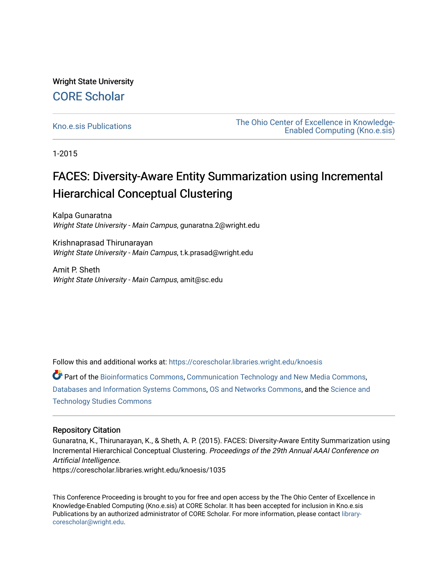Wright State University [CORE Scholar](https://corescholar.libraries.wright.edu/)

[Kno.e.sis Publications](https://corescholar.libraries.wright.edu/knoesis) [The Ohio Center of Excellence in Knowledge-](https://corescholar.libraries.wright.edu/knoesis_comm)[Enabled Computing \(Kno.e.sis\)](https://corescholar.libraries.wright.edu/knoesis_comm) 

1-2015

# FACES: Diversity-Aware Entity Summarization using Incremental Hierarchical Conceptual Clustering

Kalpa Gunaratna Wright State University - Main Campus, gunaratna.2@wright.edu

Krishnaprasad Thirunarayan Wright State University - Main Campus, t.k.prasad@wright.edu

Amit P. Sheth Wright State University - Main Campus, amit@sc.edu

Follow this and additional works at: [https://corescholar.libraries.wright.edu/knoesis](https://corescholar.libraries.wright.edu/knoesis?utm_source=corescholar.libraries.wright.edu%2Fknoesis%2F1035&utm_medium=PDF&utm_campaign=PDFCoverPages) 

Part of the [Bioinformatics Commons,](http://network.bepress.com/hgg/discipline/110?utm_source=corescholar.libraries.wright.edu%2Fknoesis%2F1035&utm_medium=PDF&utm_campaign=PDFCoverPages) [Communication Technology and New Media Commons,](http://network.bepress.com/hgg/discipline/327?utm_source=corescholar.libraries.wright.edu%2Fknoesis%2F1035&utm_medium=PDF&utm_campaign=PDFCoverPages) [Databases and Information Systems Commons](http://network.bepress.com/hgg/discipline/145?utm_source=corescholar.libraries.wright.edu%2Fknoesis%2F1035&utm_medium=PDF&utm_campaign=PDFCoverPages), [OS and Networks Commons](http://network.bepress.com/hgg/discipline/149?utm_source=corescholar.libraries.wright.edu%2Fknoesis%2F1035&utm_medium=PDF&utm_campaign=PDFCoverPages), and the [Science and](http://network.bepress.com/hgg/discipline/435?utm_source=corescholar.libraries.wright.edu%2Fknoesis%2F1035&utm_medium=PDF&utm_campaign=PDFCoverPages) [Technology Studies Commons](http://network.bepress.com/hgg/discipline/435?utm_source=corescholar.libraries.wright.edu%2Fknoesis%2F1035&utm_medium=PDF&utm_campaign=PDFCoverPages) 

# Repository Citation

Gunaratna, K., Thirunarayan, K., & Sheth, A. P. (2015). FACES: Diversity-Aware Entity Summarization using Incremental Hierarchical Conceptual Clustering. Proceedings of the 29th Annual AAAI Conference on Artificial Intelligence.

https://corescholar.libraries.wright.edu/knoesis/1035

This Conference Proceeding is brought to you for free and open access by the The Ohio Center of Excellence in Knowledge-Enabled Computing (Kno.e.sis) at CORE Scholar. It has been accepted for inclusion in Kno.e.sis Publications by an authorized administrator of CORE Scholar. For more information, please contact [library](mailto:library-corescholar@wright.edu)[corescholar@wright.edu](mailto:library-corescholar@wright.edu).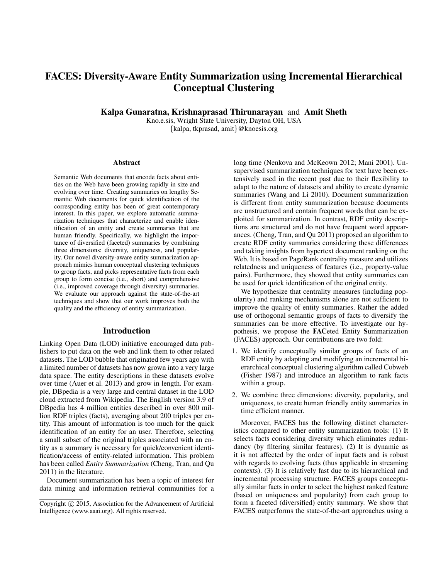# FACES: Diversity-Aware Entity Summarization using Incremental Hierarchical Conceptual Clustering

Kalpa Gunaratna, Krishnaprasad Thirunarayan and Amit Sheth

Kno.e.sis, Wright State University, Dayton OH, USA {kalpa, tkprasad, amit}@knoesis.org

#### Abstract

Semantic Web documents that encode facts about entities on the Web have been growing rapidly in size and evolving over time. Creating summaries on lengthy Semantic Web documents for quick identification of the corresponding entity has been of great contemporary interest. In this paper, we explore automatic summarization techniques that characterize and enable identification of an entity and create summaries that are human friendly. Specifically, we highlight the importance of diversified (faceted) summaries by combining three dimensions: diversity, uniqueness, and popularity. Our novel diversity-aware entity summarization approach mimics human conceptual clustering techniques to group facts, and picks representative facts from each group to form concise (i.e., short) and comprehensive (i.e., improved coverage through diversity) summaries. We evaluate our approach against the state-of-the-art techniques and show that our work improves both the quality and the efficiency of entity summarization.

# Introduction

Linking Open Data (LOD) initiative encouraged data publishers to put data on the web and link them to other related datasets. The LOD bubble that originated few years ago with a limited number of datasets has now grown into a very large data space. The entity descriptions in these datasets evolve over time (Auer et al. 2013) and grow in length. For example, DBpedia is a very large and central dataset in the LOD cloud extracted from Wikipedia. The English version 3.9 of DBpedia has 4 million entities described in over 800 million RDF triples (facts), averaging about 200 triples per entity. This amount of information is too much for the quick identification of an entity for an user. Therefore, selecting a small subset of the original triples associated with an entity as a summary is necessary for quick/convenient identification/access of entity-related information. This problem has been called *Entity Summarization* (Cheng, Tran, and Qu 2011) in the literature.

Document summarization has been a topic of interest for data mining and information retrieval communities for a

long time (Nenkova and McKeown 2012; Mani 2001). Unsupervised summarization techniques for text have been extensively used in the recent past due to their flexibility to adapt to the nature of datasets and ability to create dynamic summaries (Wang and Li 2010). Document summarization is different from entity summarization because documents are unstructured and contain frequent words that can be exploited for summarization. In contrast, RDF entity descriptions are structured and do not have frequent word appearances. (Cheng, Tran, and Qu 2011) proposed an algorithm to create RDF entity summaries considering these differences and taking insights from hypertext document ranking on the Web. It is based on PageRank centrality measure and utilizes relatedness and uniqueness of features (i.e., property-value pairs). Furthermore, they showed that entity summaries can be used for quick identification of the original entity.

We hypothesize that centrality measures (including popularity) and ranking mechanisms alone are not sufficient to improve the quality of entity summaries. Rather the added use of orthogonal semantic groups of facts to diversify the summaries can be more effective. To investigate our hypothesis, we propose the FACeted Entity Summarization (FACES) approach. Our contributions are two fold:

- 1. We identify conceptually similar groups of facts of an RDF entity by adapting and modifying an incremental hierarchical conceptual clustering algorithm called Cobweb (Fisher 1987) and introduce an algorithm to rank facts within a group.
- 2. We combine three dimensions: diversity, popularity, and uniqueness, to create human friendly entity summaries in time efficient manner.

Moreover, FACES has the following distinct characteristics compared to other entity summarization tools: (1) It selects facts considering diversity which eliminates redundancy (by filtering similar features). (2) It is dynamic as it is not affected by the order of input facts and is robust with regards to evolving facts (thus applicable in streaming contexts). (3) It is relatively fast due to its hierarchical and incremental processing structure. FACES groups conceptually similar facts in order to select the highest ranked feature (based on uniqueness and popularity) from each group to form a faceted (diversified) entity summary. We show that FACES outperforms the state-of-the-art approaches using a

Copyright (c) 2015, Association for the Advancement of Artificial Intelligence (www.aaai.org). All rights reserved.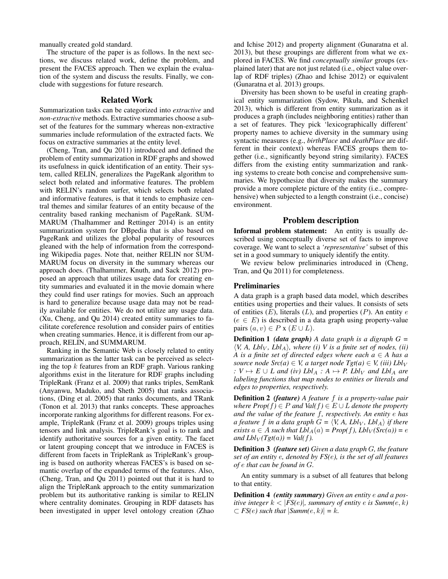manually created gold standard.

The structure of the paper is as follows. In the next sections, we discuss related work, define the problem, and present the FACES approach. Then we explain the evaluation of the system and discuss the results. Finally, we conclude with suggestions for future research.

#### Related Work

Summarization tasks can be categorized into *extractive* and *non-extractive* methods. Extractive summaries choose a subset of the features for the summary whereas non-extractive summaries include reformulation of the extracted facts. We focus on extractive summaries at the entity level.

(Cheng, Tran, and Qu 2011) introduced and defined the problem of entity summarization in RDF graphs and showed its usefulness in quick identification of an entity. Their system, called RELIN, generalizes the PageRank algorithm to select both related and informative features. The problem with RELIN's random surfer, which selects both related and informative features, is that it tends to emphasize central themes and similar features of an entity because of the centrality based ranking mechanism of PageRank. SUM-MARUM (Thalhammer and Rettinger 2014) is an entity summarization system for DBpedia that is also based on PageRank and utilizes the global popularity of resources gleaned with the help of information from the corresponding Wikipedia pages. Note that, neither RELIN nor SUM-MARUM focus on diversity in the summary whereas our approach does. (Thalhammer, Knuth, and Sack 2012) proposed an approach that utilizes usage data for creating entity summaries and evaluated it in the movie domain where they could find user ratings for movies. Such an approach is hard to generalize because usage data may not be readily available for entities. We do not utilize any usage data. (Xu, Cheng, and Qu 2014) created entity summaries to facilitate coreference resolution and consider pairs of entities when creating summaries. Hence, it is different from our approach, RELIN, and SUMMARUM.

Ranking in the Semantic Web is closely related to entity summarization as the latter task can be perceived as selecting the top  $k$  features from an RDF graph. Various ranking algorithms exist in the literature for RDF graphs including TripleRank (Franz et al. 2009) that ranks triples, SemRank (Anyanwu, Maduko, and Sheth 2005) that ranks associations, (Ding et al. 2005) that ranks documents, and TRank (Tonon et al. 2013) that ranks concepts. These approaches incorporate ranking algorithms for different reasons. For example, TripleRank (Franz et al. 2009) groups triples using tensors and link analysis. TripleRank's goal is to rank and identify authoritative sources for a given entity. The facet or latent grouping concept that we introduce in FACES is different from facets in TripleRank as TripleRank's grouping is based on authority whereas FACES's is based on semantic overlap of the expanded terms of the features. Also, (Cheng, Tran, and Qu 2011) pointed out that it is hard to align the TripleRank approach to the entity summarization problem but its authoritative ranking is similar to RELIN where centrality dominates. Grouping in RDF datasets has been investigated in upper level ontology creation (Zhao and Ichise 2012) and property alignment (Gunaratna et al. 2013), but these groupings are different from what we explored in FACES. We find *conceptually similar* groups (explained later) that are not just related (i.e., object value overlap of RDF triples) (Zhao and Ichise 2012) or equivalent (Gunaratna et al. 2013) groups.

Diversity has been shown to be useful in creating graphical entity summarization (Sydow, Pikuła, and Schenkel 2013), which is different from entity summarization as it produces a graph (includes neighboring entities) rather than a set of features. They pick 'lexicographically different' property names to achieve diversity in the summary using syntactic measures (e.g., *birthPlace* and *deathPlace* are different in their context) whereas FACES groups them together (i.e., significantly beyond string similarity). FACES differs from the existing entity summarization and ranking systems to create both concise and comprehensive summaries. We hypothesize that diversity makes the summary provide a more complete picture of the entity (i.e., comprehensive) when subjected to a length constraint (i.e., concise) environment.

# Problem description

Informal problem statement: An entity is usually described using conceptually diverse set of facts to improve coverage. We want to select a *'representative'* subset of this set in a good summary to uniquely identify the entity.

We review below preliminaries introduced in (Cheng, Tran, and Qu 2011) for completeness.

# Preliminaries

A data graph is a graph based data model, which describes entities using properties and their values. It consists of sets of entities  $(E)$ , literals  $(L)$ , and properties  $(P)$ . An entity  $e$  $(e \in E)$  is described in a data graph using property-value pairs  $(a, v) \in P$  x  $(E \cup L)$ .

Definition 1 *(data graph) A data graph is a digraph G =*  $\langle V, A, Lbl_V, Lbl_A \rangle$ , where (i) V is a finite set of nodes, (ii) *A* is a finite set of directed edges where each  $a \in A$  has a *source node*  $Src(a) \in V$ *, a target node Tgt(a)*  $\in V$ , *(iii)*  $Lbl_V$ *:*  $V \mapsto E \cup L$  and (iv)  $Lbl_A : A \mapsto P$ .  $Lbl_V$  and  $Lbl_A$  are *labeling functions that map nodes to entities or literals and edges to properties, respectively.*

Definition 2 *(feature) A feature* f *is a property-value pair where*  $Prop(f) \in P$  *and*  $Val(f) \in E \cup L$  *denote the property and the value of the feature* f*, respectively. An entity* e *has a feature* f *in a data graph*  $G = \langle V, A, Lbl_V, Lbl_A \rangle$  *if there exists*  $a \in A$  *such that*  $Lbl_A(a) = Prop(f)$ ,  $Lbl_V(Src(a)) = e$ *and*  $Lbl_V(Tgt(a)) = Val(f)$ .

Definition 3 *(feature set) Given a data graph* G*, the feature set of an entity* e*, denoted by FS(*e*), is the set of all features of* e *that can be found in* G*.*

An entity summary is a subset of all features that belong to that entity.

Definition 4 *(entity summary) Given an entity* e *and a positive integer*  $k < |FS(e)|$ *, summary of entity e is Summ(e, k)*  $\subset$  *FS(e)* such that  $|Summ(e, k)| = k$ .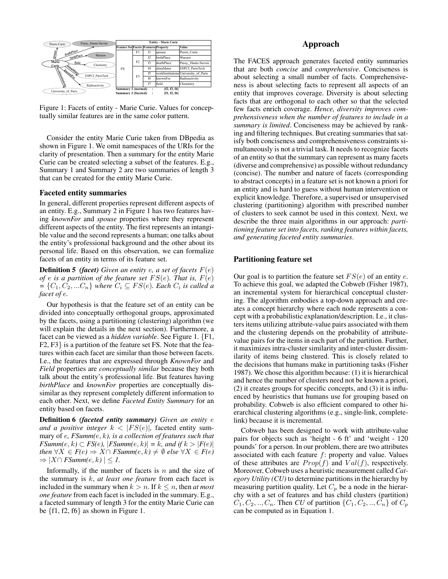

Figure 1: Facets of entity - Marie Curie. Values for conceptually similar features are in the same color pattern.

Consider the entity Marie Curie taken from DBpedia as shown in Figure 1. We omit namespaces of the URIs for the clarity of presentation. Then a summary for the entity Marie Curie can be created selecting a subset of the features. E.g., Summary 1 and Summary 2 are two summaries of length 3 that can be created for the entity Marie Curie.

#### Faceted entity summaries

In general, different properties represent different aspects of an entity. E.g., Summary 2 in Figure 1 has two features having *knownFor* and *spouse* properties where they represent different aspects of the entity. The first represents an intangible value and the second represents a human; one talks about the entity's professional background and the other about its personal life. Based on this observation, we can formalize facets of an entity in terms of its feature set.

Definition 5 *(facet) Given an entity* e*, a set of facets* F(e) *of e is a partition of the feature set*  $FS(e)$ *. That is,*  $F(e)$  $= \{C_1, C_2, ... C_n\}$  where  $C_i \subseteq FS(e)$ . Each  $C_i$  is called a *facet of* e*.*

Our hypothesis is that the feature set of an entity can be divided into conceptually orthogonal groups, approximated by the facets, using a partitioning (clustering) algorithm (we will explain the details in the next section). Furthermore, a facet can be viewed as a *hidden variable*. See Figure 1. {F1, F2, F3} is a partition of the feature set FS. Note that the features within each facet are similar than those between facets. I.e., the features that are expressed through *KnownFor* and *Field* properties are *conceptually similar* because they both talk about the entity's professional life. But features having *birthPlace* and *knownFor* properties are conceptually dissimilar as they represent completely different information to each other. Next, we define *Faceted Entity Summary* for an entity based on facets.

Definition 6 *(faceted entity summary) Given an entity* e *and a positive integer*  $k < |FS(e)|$ , faceted entity summary of e*, FSumm(*e, k*), is a collection of features such that FSumm*(*e*, *k*)  $\subset$  *FS*(*e*),  $|$ *FSumm*(*e*, *k*) $| = k$ , and if  $k > |F(e)|$ *then* ∀*X* ∈ *F*(*e*)  $\Rightarrow$  *X* ∩ *FSumm*(*e*, *k*)  $\neq$  *Ø else* ∀*X* ∈ *F*(*e*)  $\Rightarrow$   $|X \cap FSumm(e, k)| \leq 1.$ 

Informally, if the number of facets is  $n$  and the size of the summary is k, *at least one feature* from each facet is included in the summary when  $k > n$ . If  $k \leq n$ , then *at most one feature* from each facet is included in the summary. E.g., a faceted summary of length 3 for the entity Marie Curie can be  $\{f1, f2, f6\}$  as shown in Figure 1.

# Approach

The FACES approach generates faceted entity summaries that are both *concise* and *comprehensive*. Conciseness is about selecting a small number of facts. Comprehensiveness is about selecting facts to represent all aspects of an entity that improves coverage. Diversity is about selecting facts that are orthogonal to each other so that the selected few facts enrich coverage. *Hence, diversity improves comprehensiveness when the number of features to include in a summary is limited*. Conciseness may be achieved by ranking and filtering techniques. But creating summaries that satisfy both conciseness and comprehensiveness constraints simultaneously is not a trivial task. It needs to recognize facets of an entity so that the summary can represent as many facets (diverse and comprehensive) as possible without redundancy (concise). The number and nature of facets (corresponding to abstract concepts) in a feature set is not known a priori for an entity and is hard to guess without human intervention or explicit knowledge. Therefore, a supervised or unsupervised clustering (partitioning) algorithm with prescribed number of clusters to seek cannot be used in this context. Next, we describe the three main algorithms in our approach: *partitioning feature set into facets, ranking features within facets, and generating faceted entity summaries*.

#### Partitioning feature set

Our goal is to partition the feature set  $FS(e)$  of an entity e. To achieve this goal, we adapted the Cobweb (Fisher 1987), an incremental system for hierarchical conceptual clustering. The algorithm embodies a top-down approach and creates a concept hierarchy where each node represents a concept with a probabilistic explanation/description. I.e., it clusters items utilizing attribute-value pairs associated with them and the clustering depends on the probability of attributevalue pairs for the items in each part of the partition. Further, it maximizes intra-cluster similarity and inter-cluster dissimilarity of items being clustered. This is closely related to the decisions that humans make in partitioning tasks (Fisher 1987). We chose this algorithm because: (1) it is hierarchical and hence the number of clusters need not be known a priori, (2) it creates groups for specific concepts, and (3) it is influenced by heuristics that humans use for grouping based on probability. Cobweb is also efficient compared to other hierarchical clustering algorithms (e.g., single-link, completelink) because it is incremental.

Cobweb has been designed to work with attribute-value pairs for objects such as 'height - 6 ft' and 'weight - 120 pounds' for a person. In our problem, there are two attributes associated with each feature  $f$ : property and value. Values of these attributes are  $Prop(f)$  and  $Val(f)$ , respectively. Moreover, Cobweb uses a heuristic measurement called *Category Utility (CU)* to determine partitions in the hierarchy by measuring partition quality. Let  $C_p$  be a node in the hierarchy with a set of features and has child clusters (partition)  $C_1, C_2, \ldots, C_n$ . Then *CU* of partition  $\{C_1, C_2, \ldots, C_n\}$  of  $C_p$ can be computed as in Equation 1.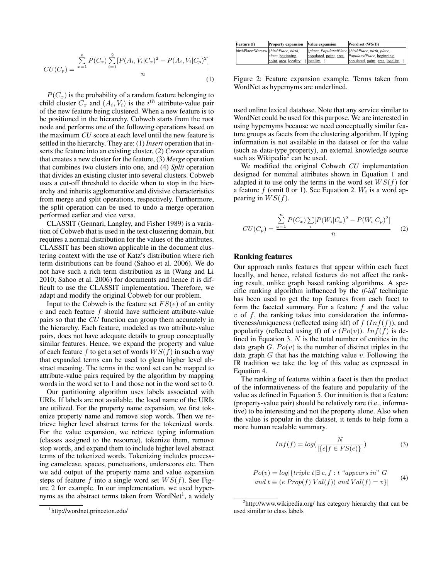$$
CU(C_p) = \frac{\sum_{x=1}^{n} P(C_x) \sum_{i=1}^{2} [P(A_i, V_i | C_x)^2 - P(A_i, V_i | C_p)^2]}{n}
$$
\n(1)

 $P(C_x)$  is the probability of a random feature belonging to child cluster  $C_x$  and  $(A_i, V_i)$  is the i<sup>th</sup> attribute-value pair of the new feature being clustered. When a new feature is to be positioned in the hierarchy, Cobweb starts from the root node and performs one of the following operations based on the maximum *CU* score at each level until the new feature is settled in the hierarchy. They are: (1) *Insert* operation that inserts the feature into an existing cluster, (2) *Create* operation that creates a new cluster for the feature, (3) *Merge* operation that combines two clusters into one, and (4) *Split* operation that divides an existing cluster into several clusters. Cobweb uses a cut-off threshold to decide when to stop in the hierarchy and inherits agglomerative and divisive characteristics from merge and split operations, respectively. Furthermore, the split operation can be used to undo a merge operation performed earlier and vice versa. http://wordnet.princeton.edu/ **Feature (f) Property expansion Value expansion Word set (WS(f))**

CLASSIT (Gennari, Langley, and Fisher 1989) is a variation of Cobweb that is used in the text clustering domain, but requires a normal distribution for the values of the attributes. CLASSIT has been shown applicable in the document clustering context with the use of Katz's distribution where rich term distributions can be found (Sahoo et al. 2006). We do not have such a rich term distribution as in (Wang and Li 2010; Sahoo et al. 2006) for documents and hence it is difficult to use the CLASSIT implementation. Therefore, we adapt and modify the original Cobweb for our problem.

Input to the Cobweb is the feature set  $FS(e)$  of an entity e and each feature f should have sufficient attribute-value pairs so that the *CU* function can group them accurately in the hierarchy. Each feature, modeled as two attribute-value pairs, does not have adequate details to group conceptually similar features. Hence, we expand the property and value of each feature f to get a set of words  $WS(f)$  in such a way that expanded terms can be used to glean higher level abstract meaning. The terms in the word set can be mapped to attribute-value pairs required by the algorithm by mapping words in the word set to 1 and those not in the word set to 0.

Our partitioning algorithm uses labels associated with URIs. If labels are not available, the local name of the URIs are utilized. For the property name expansion, we first tokenize property name and remove stop words. Then we retrieve higher level abstract terms for the tokenized words. For the value expansion, we retrieve typing information (classes assigned to the resource), tokenize them, remove stop words, and expand them to include higher level abstract terms of the tokenized words. Tokenizing includes processing camelcase, spaces, punctuations, underscores etc. Then we add output of the property name and value expansion steps of feature f into a single word set  $WS(f)$ . See Figure 2 for example. In our implementation, we used hypernyms as the abstract terms taken from WordNet<sup>1</sup>, a widely

| Feature (f)                             | <b>Property expansion</b>            | <b>Value expansion</b>  | Word set (WS(f))                                  |
|-----------------------------------------|--------------------------------------|-------------------------|---------------------------------------------------|
| birthPlace: Warsaw  {birthPlace, birth, |                                      |                         | {place, PopulatedPlace}{birthPlace, birth, place, |
|                                         | <i>place</i> , <i>beginning</i> ,    | populated, point, area, | PopulatedPlace, beginning,                        |
|                                         | point, area, locality, } locality, } |                         | populated, point, area, locality, }               |

Figure 2: Feature expansion example. Terms taken from WordNet as hypernyms are underlined.

used online lexical database. Note that any service similar to WordNet could be used for this purpose. We are interested in using hypernyms because we need conceptually similar feature groups as facets from the clustering algorithm. If typing information is not available in the dataset or for the value (such as data-type property), an external knowledge source such as Wikipedia<sup>2</sup> can be used.

We modified the original Cobweb *CU* implementation designed for nominal attributes shown in Equation 1 and adapted it to use only the terms in the word set  $WS(f)$  for a feature  $f$  (omit 0 or 1). See Equation 2.  $W_i$  is a word appearing in  $WS(f)$ .

$$
CU(C_p) = \frac{\sum_{x=1}^{n} P(C_x) \sum_{i} [P(W_i | C_x)^2 - P(W_i | C_p)^2]}{n}
$$
 (2)

#### Ranking features

Our approach ranks features that appear within each facet locally, and hence, related features do not affect the ranking result, unlike graph based ranking algorithms. A specific ranking algorithm influenced by the *tf-idf* technique has been used to get the top features from each facet to form the faceted summary. For a feature  $f$  and the value  $v$  of  $f$ , the ranking takes into consideration the informativeness/uniqueness (reflected using idf) of  $f(Inf(f))$ , and popularity (reflected using tf) of v  $(Po(v))$ . In $f(f)$  is defined in Equation 3.  $N$  is the total number of entities in the data graph  $G. Po(v)$  is the number of distinct triples in the data graph  $G$  that has the matching value  $v$ . Following the IR tradition we take the log of this value as expressed in Equation 4.

The ranking of features within a facet is then the product of the informativeness of the feature and popularity of the value as defined in Equation 5. Our intuition is that a feature (property-value pair) should be relatively rare (i.e., informative) to be interesting and not the property alone. Also when the value is popular in the dataset, it tends to help form a more human readable summary.

$$
Inf(f) = log(\frac{N}{|\{e|f \in FS(e)\}|})
$$
\n(3)

$$
Po(v) = log{ {triple t | } \exists e, f : t "appears in" G
$$
  
and  $t \equiv (e \, Prop(f) \, Val(f)) \, and \, Val(f) = v }$  } (4)

<sup>&</sup>lt;sup>1</sup>http://wordnet.princeton.edu/

<sup>&</sup>lt;sup>2</sup>http://www.wikipedia.org/ has category hierarchy that can be used similar to class labels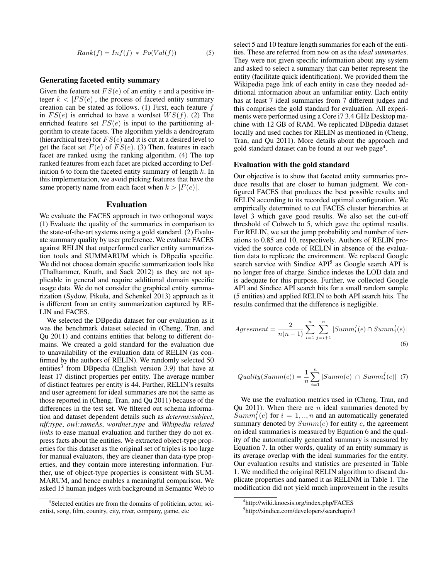$$
Rank(f) = Inf(f) * Po(Val(f))
$$
\n(5)

#### Generating faceted entity summary

Given the feature set  $FS(e)$  of an entity e and a positive integer  $k < |FS(e)|$ , the process of faceted entity summary creation can be stated as follows. (1) First, each feature  $f$ in  $FS(e)$  is enriched to have a wordset  $WS(f)$ . (2) The enriched feature set  $FS(e)$  is input to the partitioning algorithm to create facets. The algorithm yields a dendrogram (hierarchical tree) for  $FS(e)$  and it is cut at a desired level to get the facet set  $F(e)$  of  $FS(e)$ . (3) Then, features in each facet are ranked using the ranking algorithm. (4) The top ranked features from each facet are picked according to Definition 6 to form the faceted entity summary of length  $k$ . In this implementation, we avoid picking features that have the same property name from each facet when  $k > |F(e)|$ .

#### Evaluation

We evaluate the FACES approach in two orthogonal ways: (1) Evaluate the quality of the summaries in comparison to the state-of-the-art systems using a gold standard. (2) Evaluate summary quality by user preference. We evaluate FACES against RELIN that outperformed earlier entity summarization tools and SUMMARUM which is DBpedia specific. We did not choose domain specific summarization tools like (Thalhammer, Knuth, and Sack 2012) as they are not applicable in general and require additional domain specific usage data. We do not consider the graphical entity summarization (Sydow, Pikuła, and Schenkel 2013) approach as it is different from an entity summarization captured by RE-LIN and FACES.

We selected the DBpedia dataset for our evaluation as it was the benchmark dataset selected in (Cheng, Tran, and Qu 2011) and contains entities that belong to different domains. We created a gold standard for the evaluation due to unavailability of the evaluation data of RELIN (as confirmed by the authors of RELIN). We randomly selected 50 entities<sup>3</sup> from DBpedia (English version 3.9) that have at least 17 distinct properties per entity. The average number of distinct features per entity is 44. Further, RELIN's results and user agreement for ideal summaries are not the same as those reported in (Cheng, Tran, and Qu 2011) because of the differences in the test set. We filtered out schema information and dataset dependent details such as *dcterms:subject*, *rdf:type*, *owl:sameAs*, *wordnet type* and *Wikipedia related links* to ease manual evaluation and further they do not express facts about the entities. We extracted object-type properties for this dataset as the original set of triples is too large for manual evaluators, they are cleaner than data-type properties, and they contain more interesting information. Further, use of object-type properties is consistent with SUM-MARUM, and hence enables a meaningful comparison. We asked 15 human judges with background in Semantic Web to

select 5 and 10 feature length summaries for each of the entities. These are referred from now on as the *ideal summaries*. They were not given specific information about any system and asked to select a summary that can better represent the entity (facilitate quick identification). We provided them the Wikipedia page link of each entity in case they needed additional information about an unfamiliar entity. Each entity has at least 7 ideal summaries from 7 different judges and this comprises the gold standard for evaluation. All experiments were performed using a Core i7 3.4 GHz Desktop machine with 12 GB of RAM. We replicated DBpedia dataset locally and used caches for RELIN as mentioned in (Cheng, Tran, and Qu 2011). More details about the approach and gold standard dataset can be found at our web page<sup>4</sup>.

#### Evaluation with the gold standard

Our objective is to show that faceted entity summaries produce results that are closer to human judgment. We configured FACES that produces the best possible results and RELIN according to its recorded optimal configuration. We empirically determined to cut FACES cluster hierarchies at level 3 which gave good results. We also set the cut-off threshold of Cobweb to 5, which gave the optimal results. For RELIN, we set the jump probability and number of iterations to 0.85 and 10, respectively. Authors of RELIN provided the source code of RELIN in absence of the evaluation data to replicate the environment. We replaced Google search service with Sindice API<sup>5</sup> as Google search API is no longer free of charge. Sindice indexes the LOD data and is adequate for this purpose. Further, we collected Google API and Sindice API search hits for a small random sample (5 entities) and applied RELIN to both API search hits. The results confirmed that the difference is negligible.

$$
Agreement = \frac{2}{n(n-1)} \sum_{i=1}^{n} \sum_{j=i+1}^{n} |Summ_i^I(e) \cap Summ_j^I(e)|
$$
\n(6)

$$
Quality(Summ(e)) = \frac{1}{n} \sum_{i=1}^{n} |Summ(e) \cap Summ_i^I(e)| \quad (7)
$$

We use the evaluation metrics used in (Cheng, Tran, and Qu 2011). When there are  $n$  ideal summaries denoted by  $Summ_i^I(e)$  for  $i = 1, ..., n$  and an automatically generated summary denoted by  $Summ(e)$  for entity e, the agreement on ideal summaries is measured by Equation 6 and the quality of the automatically generated summary is measured by Equation 7. In other words, quality of an entity summary is its average overlap with the ideal summaries for the entity. Our evaluation results and statistics are presented in Table 1. We modified the original RELIN algorithm to discard duplicate properties and named it as RELINM in Table 1. The modification did not yield much improvement in the results

<sup>&</sup>lt;sup>3</sup> Selected entities are from the domains of politician, actor, scientist, song, film, country, city, river, company, game, etc

<sup>4</sup> http://wiki.knoesis.org/index.php/FACES

<sup>5</sup> http://sindice.com/developers/searchapiv3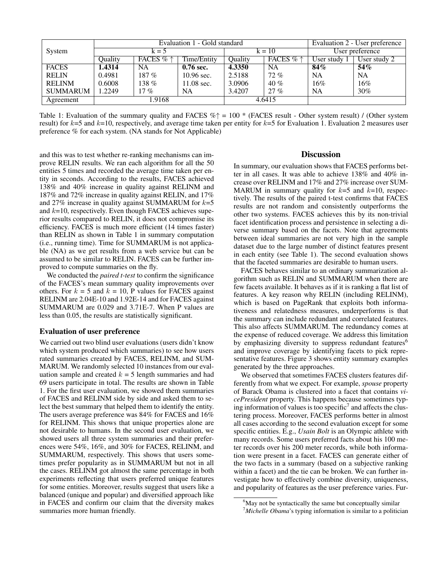|                 | Evaluation 1 - Gold standard |                    |                      |         | Evaluation 2 - User preference |              |              |
|-----------------|------------------------------|--------------------|----------------------|---------|--------------------------------|--------------|--------------|
| System          | $k = 5$                      |                    | $k = 10$             |         | User preference                |              |              |
|                 | Ouality                      | FACES $% \uparrow$ | Time/Entity          | Ouality | FACES $% \uparrow$             | User study 1 | User study 2 |
| <b>FACES</b>    | 1.4314                       | <b>NA</b>          | $0.76$ sec.          | 4.3350  | NA.                            | 84%          | 54%          |
| <b>RELIN</b>    | 0.4981                       | $187 \%$           | $10.96$ sec.         | 2.5188  | $72\%$                         | <b>NA</b>    | NA           |
| <b>RELINM</b>   | 0.6008                       | 138 $%$            | $11.08 \text{ sec.}$ | 3.0906  | 40%                            | 16%          | 16%          |
| <b>SUMMARUM</b> | 1.2249                       | $17\%$             | NA                   | 3.4207  | 27%                            | NA           | 30%          |
| Agreement       |                              | 1.9168             |                      |         | 4.6415                         |              |              |

Table 1: Evaluation of the summary quality and FACES  $\% \uparrow = 100 *$  (FACES result - Other system result) / (Other system result) for  $k=5$  and  $k=10$ , respectively, and average time taken per entity for  $k=5$  for Evaluation 1. Evaluation 2 measures user preference % for each system. (NA stands for Not Applicable)

and this was to test whether re-ranking mechanisms can improve RELIN results. We ran each algorithm for all the 50 entities 5 times and recorded the average time taken per entity in seconds. According to the results, FACES achieved 138% and 40% increase in quality against RELINM and 187% and 72% increase in quality against RELIN, and 17% and 27% increase in quality against SUMMARUM for  $k=5$ and  $k=10$ , respectively. Even though FACES achieves superior results compared to RELIN, it does not compromise its efficiency. FACES is much more efficient (14 times faster) than RELIN as shown in Table 1 in summary computation (i.e., running time). Time for SUMMARUM is not applicable (NA) as we get results from a web service but can be assumed to be similar to RELIN. FACES can be further improved to compute summaries on the fly.

We conducted the *paired t-test* to confirm the significance of the FACES's mean summary quality improvements over others. For  $k = 5$  and  $k = 10$ , P values for FACES against RELINM are 2.04E-10 and 1.92E-14 and for FACES against SUMMARUM are 0.029 and 3.71E-7. When P values are less than 0.05, the results are statistically significant.

#### Evaluation of user preference

We carried out two blind user evaluations (users didn't know which system produced which summaries) to see how users rated summaries created by FACES, RELINM, and SUM-MARUM. We randomly selected 10 instances from our evaluation sample and created  $k = 5$  length summaries and had 69 users participate in total. The results are shown in Table 1. For the first user evaluation, we showed them summaries of FACES and RELINM side by side and asked them to select the best summary that helped them to identify the entity. The users average preference was 84% for FACES and 16% for RELINM. This shows that unique properties alone are not desirable to humans. In the second user evaluation, we showed users all three system summaries and their preferences were 54%, 16%, and 30% for FACES, RELINM, and SUMMARUM, respectively. This shows that users sometimes prefer popularity as in SUMMARUM but not in all the cases. RELINM got almost the same percentage in both experiments reflecting that users preferred unique features for some entities. Moreover, results suggest that users like a balanced (unique and popular) and diversified approach like in FACES and confirm our claim that the diversity makes summaries more human friendly.

#### **Discussion**

In summary, our evaluation shows that FACES performs better in all cases. It was able to achieve 138% and 40% increase over RELINM and 17% and 27% increase over SUM-MARUM in summary quality for  $k=5$  and  $k=10$ , respectively. The results of the paired t-test confirms that FACES results are not random and consistently outperforms the other two systems. FACES achieves this by its non-trivial facet identification process and persistence in selecting a diverse summary based on the facets. Note that agreements between ideal summaries are not very high in the sample dataset due to the large number of distinct features present in each entity (see Table 1). The second evaluation shows that the faceted summaries are desirable to human users.

FACES behaves similar to an ordinary summarization algorithm such as RELIN and SUMMARUM when there are few facets available. It behaves as if it is ranking a flat list of features. A key reason why RELIN (including RELINM), which is based on PageRank that exploits both informativeness and relatedness measures, underperforms is that the summary can include redundant and correlated features. This also affects SUMMARUM. The redundancy comes at the expense of reduced coverage. We address this limitation by emphasizing diversity to suppress redundant features<sup>6</sup> and improve coverage by identifying facets to pick representative features. Figure 3 shows entity summary examples generated by the three approaches.

We observed that sometimes FACES clusters features differently from what we expect. For example, *spouse* property of Barack Obama is clustered into a facet that contains *vicePresident* property. This happens because sometimes typing information of values is too specific<sup>7</sup> and affects the clustering process. Moreover, FACES performs better in almost all cases according to the second evaluation except for some specific entities. E.g., *Usain Bolt* is an Olympic athlete with many records. Some users preferred facts about his 100 meter records over his 200 meter records, while both information were present in a facet. FACES can generate either of the two facts in a summary (based on a subjective ranking within a facet) and the tie can be broken. We can further investigate how to effectively combine diversity, uniqueness, and popularity of features as the user preference varies. Fur-

<sup>&</sup>lt;sup>6</sup>May not be syntactically the same but conceptually similar

<sup>7</sup>*Michelle Obama*'s typing information is similar to a politician